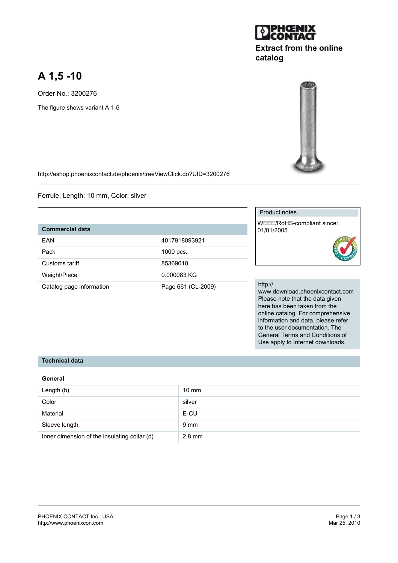# **A 1,5 -10**

Order No.: 3200276 The figure shows variant A 1-6



http://eshop.phoenixcontact.de/phoenix/treeViewClick.do?UID=3200276

Ferrule, Length: 10 mm, Color: silver

# **Commercial data**

| FAN                      | 4017918093921      |
|--------------------------|--------------------|
| Pack                     | $1000$ pcs.        |
| Customs tariff           | 85369010           |
| Weight/Piece             | 0.000083 KG        |
| Catalog page information | Page 661 (CL-2009) |

## Product notes

WEEE/RoHS-compliant since: 01/01/2005



#### http://

www.download.phoenixcontact.com Please note that the data given here has been taken from the online catalog. For comprehensive information and data, please refer to the user documentation. The General Terms and Conditions of Use apply to Internet downloads.

#### **Technical data**

# **General** Length (b) 10 mm Color silver and the silver silver silver Material E-CU Sleeve length 9 mm Inner dimension of the insulating collar (d) 2.8 mm



**catalog**

**Extract from the online**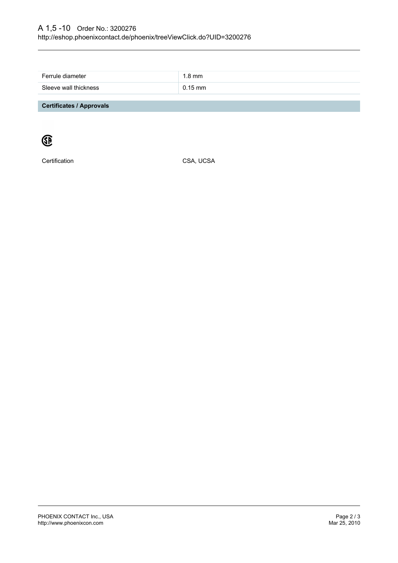| Ferrule diameter                | 1.8 mm    |
|---------------------------------|-----------|
| Sleeve wall thickness           | $0.15$ mm |
|                                 |           |
| <b>Certificates / Approvals</b> |           |



Certification CSA, UCSA